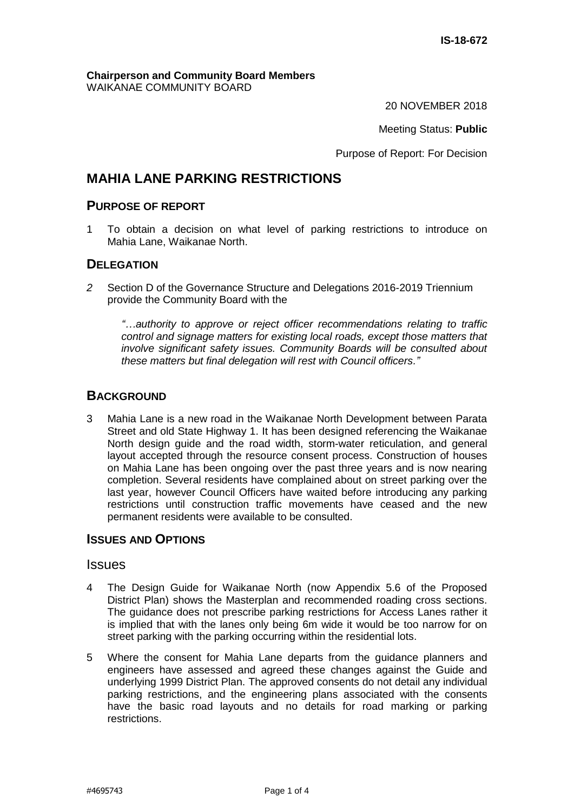#### **Chairperson and Community Board Members** WAIKANAE COMMUNITY BOARD

20 NOVEMBER 2018

Meeting Status: **Public**

Purpose of Report: For Decision

# **MAHIA LANE PARKING RESTRICTIONS**

# **PURPOSE OF REPORT**

1 To obtain a decision on what level of parking restrictions to introduce on Mahia Lane, Waikanae North.

#### **DELEGATION**

*2* Section D of the Governance Structure and Delegations 2016-2019 Triennium provide the Community Board with the

*"…authority to approve or reject officer recommendations relating to traffic control and signage matters for existing local roads, except those matters that involve significant safety issues. Community Boards will be consulted about these matters but final delegation will rest with Council officers."*

#### **BACKGROUND**

3 Mahia Lane is a new road in the Waikanae North Development between Parata Street and old State Highway 1. It has been designed referencing the Waikanae North design guide and the road width, storm-water reticulation, and general layout accepted through the resource consent process. Construction of houses on Mahia Lane has been ongoing over the past three years and is now nearing completion. Several residents have complained about on street parking over the last year, however Council Officers have waited before introducing any parking restrictions until construction traffic movements have ceased and the new permanent residents were available to be consulted.

## **ISSUES AND OPTIONS**

## **Issues**

- 4 The Design Guide for Waikanae North (now Appendix 5.6 of the Proposed District Plan) shows the Masterplan and recommended roading cross sections. The guidance does not prescribe parking restrictions for Access Lanes rather it is implied that with the lanes only being 6m wide it would be too narrow for on street parking with the parking occurring within the residential lots.
- 5 Where the consent for Mahia Lane departs from the guidance planners and engineers have assessed and agreed these changes against the Guide and underlying 1999 District Plan. The approved consents do not detail any individual parking restrictions, and the engineering plans associated with the consents have the basic road layouts and no details for road marking or parking restrictions.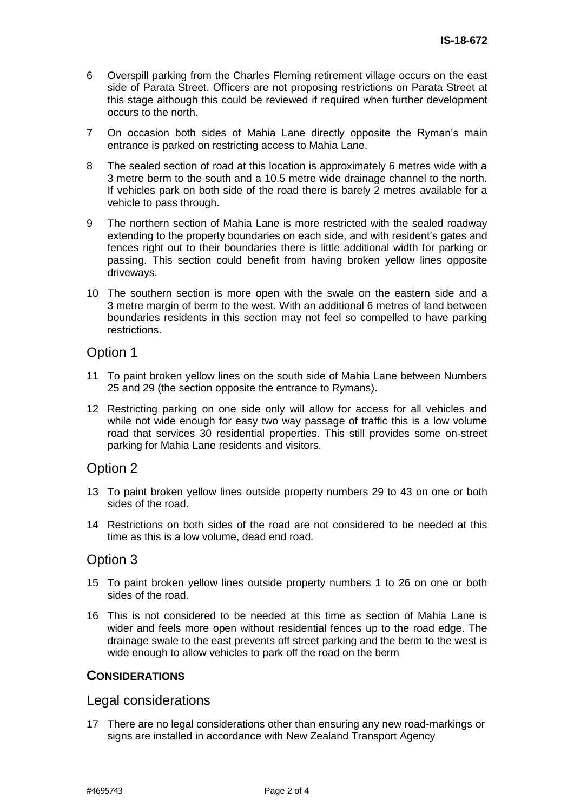- 6 Overspill parking from the Charles Fleming retirement village occurs on the east side of Parata Street. Officers are not proposing restrictions on Parata Street at this stage although this could be reviewed if required when further development occurs to the north.
- 7 On occasion both sides of Mahia Lane directly opposite the Ryman's main entrance is parked on restricting access to Mahia Lane.
- 8 The sealed section of road at this location is approximately 6 metres wide with a 3 metre berm to the south and a 10.5 metre wide drainage channel to the north. If vehicles park on both side of the road there is barely 2 metres available for a vehicle to pass through.
- 9 The northern section of Mahia Lane is more restricted with the sealed roadway extending to the property boundaries on each side, and with resident's gates and fences right out to their boundaries there is little additional width for parking or passing. This section could benefit from having broken yellow lines opposite driveways.
- 10 The southern section is more open with the swale on the eastern side and a 3 metre margin of berm to the west. With an additional 6 metres of land between boundaries residents in this section may not feel so compelled to have parking restrictions.

# Option 1

- 11 To paint broken yellow lines on the south side of Mahia Lane between Numbers 25 and 29 (the section opposite the entrance to Rymans).
- 12 Restricting parking on one side only will allow for access for all vehicles and while not wide enough for easy two way passage of traffic this is a low volume road that services 30 residential properties. This still provides some on-street parking for Mahia Lane residents and visitors.

# Option 2

- 13 To paint broken yellow lines outside property numbers 29 to 43 on one or both sides of the road.
- 14 Restrictions on both sides of the road are not considered to be needed at this time as this is a low volume, dead end road.

## Option 3

- 15 To paint broken yellow lines outside property numbers 1 to 26 on one or both sides of the road.
- 16 This is not considered to be needed at this time as section of Mahia Lane is wider and feels more open without residential fences up to the road edge. The drainage swale to the east prevents off street parking and the berm to the west is wide enough to allow vehicles to park off the road on the berm

## **CONSIDERATIONS**

## Legal considerations

17 There are no legal considerations other than ensuring any new road-markings or signs are installed in accordance with New Zealand Transport Agency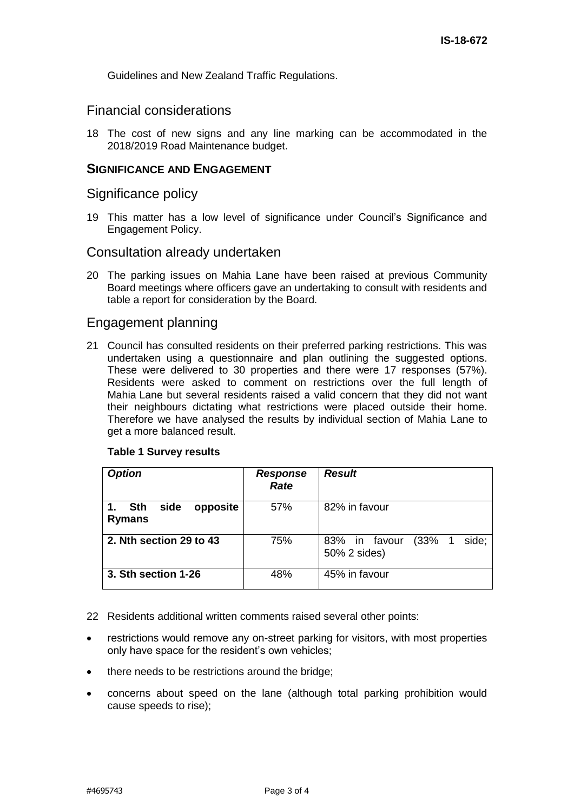Guidelines and New Zealand Traffic Regulations.

# Financial considerations

18 The cost of new signs and any line marking can be accommodated in the 2018/2019 Road Maintenance budget.

#### **SIGNIFICANCE AND ENGAGEMENT**

#### Significance policy

19 This matter has a low level of significance under Council's Significance and Engagement Policy.

#### Consultation already undertaken

20 The parking issues on Mahia Lane have been raised at previous Community Board meetings where officers gave an undertaking to consult with residents and table a report for consideration by the Board.

## Engagement planning

21 Council has consulted residents on their preferred parking restrictions. This was undertaken using a questionnaire and plan outlining the suggested options. These were delivered to 30 properties and there were 17 responses (57%). Residents were asked to comment on restrictions over the full length of Mahia Lane but several residents raised a valid concern that they did not want their neighbours dictating what restrictions were placed outside their home. Therefore we have analysed the results by individual section of Mahia Lane to get a more balanced result.

#### **Table 1 Survey results**

| <b>Option</b>                                         | <b>Response</b><br>Rate | <b>Result</b>                                  |
|-------------------------------------------------------|-------------------------|------------------------------------------------|
| side<br><b>Sth</b><br>opposite<br>1.<br><b>Rymans</b> | 57%                     | 82% in favour                                  |
| 2. Nth section 29 to 43                               | 75%                     | 83% in favour<br>(33%<br>side;<br>50% 2 sides) |
| 3. Sth section 1-26                                   | 48%                     | 45% in favour                                  |

22 Residents additional written comments raised several other points:

- restrictions would remove any on-street parking for visitors, with most properties only have space for the resident's own vehicles;
- there needs to be restrictions around the bridge;
- concerns about speed on the lane (although total parking prohibition would cause speeds to rise);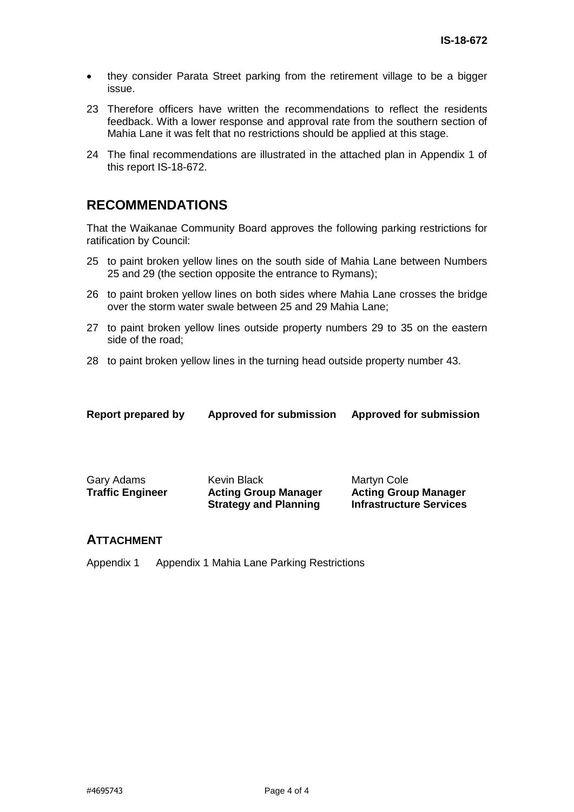- they consider Parata Street parking from the retirement village to be a bigger issue.
- 23 Therefore officers have written the recommendations to reflect the residents feedback. With a lower response and approval rate from the southern section of Mahia Lane it was felt that no restrictions should be applied at this stage.
- 24 The final recommendations are illustrated in the attached plan in Appendix 1 of this report IS-18-672.

# **RECOMMENDATIONS**

That the Waikanae Community Board approves the following parking restrictions for ratification by Council:

- 25 to paint broken yellow lines on the south side of Mahia Lane between Numbers 25 and 29 (the section opposite the entrance to Rymans);
- 26 to paint broken yellow lines on both sides where Mahia Lane crosses the bridge over the storm water swale between 25 and 29 Mahia Lane;
- 27 to paint broken yellow lines outside property numbers 29 to 35 on the eastern side of the road;
- 28 to paint broken yellow lines in the turning head outside property number 43.

| Report prepared by | <b>Approved for submission</b> | <b>Approved for submission</b> |
|--------------------|--------------------------------|--------------------------------|
|                    |                                |                                |

| Gary Adams              | Kevin Black                  | Martyn Cole                    |
|-------------------------|------------------------------|--------------------------------|
| <b>Traffic Engineer</b> | <b>Acting Group Manager</b>  | <b>Acting Group Manager</b>    |
|                         | <b>Strategy and Planning</b> | <b>Infrastructure Services</b> |

#### **ATTACHMENT**

Appendix 1 Appendix 1 Mahia Lane Parking Restrictions